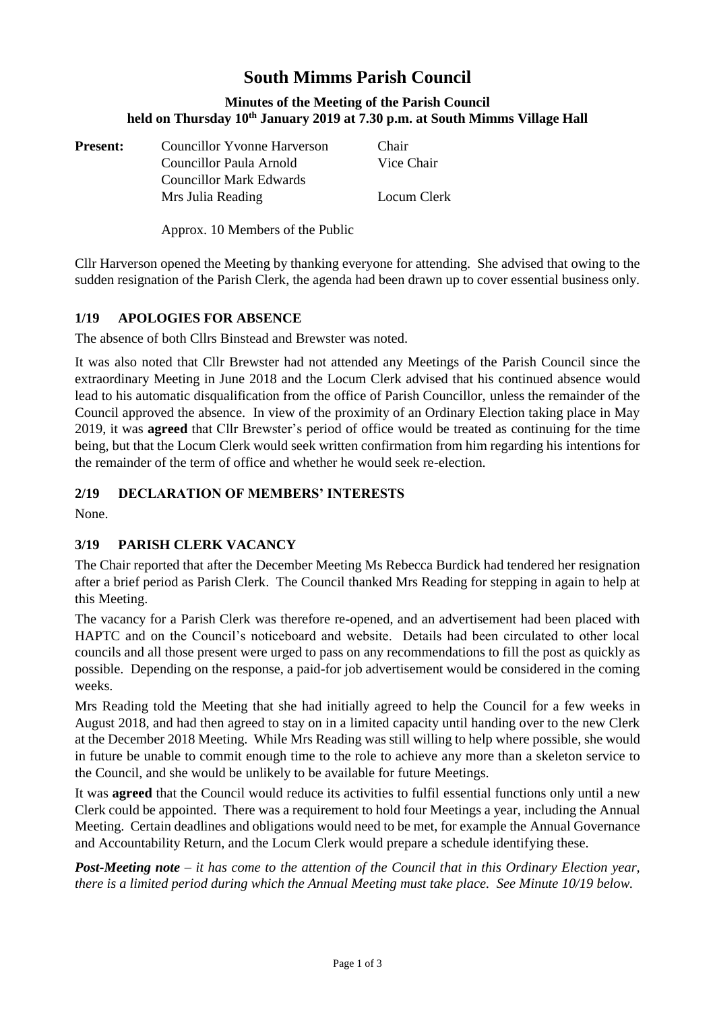# **South Mimms Parish Council**

#### **Minutes of the Meeting of the Parish Council held on Thursday 10th January 2019 at 7.30 p.m. at South Mimms Village Hall**

**Present:** Councillor Yvonne Harverson Chair

Councillor Paula Arnold Vice Chair Mrs Julia Reading Locum Clerk

Approx. 10 Members of the Public

Councillor Mark Edwards

Cllr Harverson opened the Meeting by thanking everyone for attending. She advised that owing to the sudden resignation of the Parish Clerk, the agenda had been drawn up to cover essential business only.

# **1/19 APOLOGIES FOR ABSENCE**

The absence of both Cllrs Binstead and Brewster was noted.

It was also noted that Cllr Brewster had not attended any Meetings of the Parish Council since the extraordinary Meeting in June 2018 and the Locum Clerk advised that his continued absence would lead to his automatic disqualification from the office of Parish Councillor, unless the remainder of the Council approved the absence. In view of the proximity of an Ordinary Election taking place in May 2019, it was **agreed** that Cllr Brewster's period of office would be treated as continuing for the time being, but that the Locum Clerk would seek written confirmation from him regarding his intentions for the remainder of the term of office and whether he would seek re-election.

## **2/19 DECLARATION OF MEMBERS' INTERESTS**

None.

## **3/19 PARISH CLERK VACANCY**

The Chair reported that after the December Meeting Ms Rebecca Burdick had tendered her resignation after a brief period as Parish Clerk. The Council thanked Mrs Reading for stepping in again to help at this Meeting.

The vacancy for a Parish Clerk was therefore re-opened, and an advertisement had been placed with HAPTC and on the Council's noticeboard and website. Details had been circulated to other local councils and all those present were urged to pass on any recommendations to fill the post as quickly as possible. Depending on the response, a paid-for job advertisement would be considered in the coming weeks.

Mrs Reading told the Meeting that she had initially agreed to help the Council for a few weeks in August 2018, and had then agreed to stay on in a limited capacity until handing over to the new Clerk at the December 2018 Meeting. While Mrs Reading was still willing to help where possible, she would in future be unable to commit enough time to the role to achieve any more than a skeleton service to the Council, and she would be unlikely to be available for future Meetings.

It was **agreed** that the Council would reduce its activities to fulfil essential functions only until a new Clerk could be appointed. There was a requirement to hold four Meetings a year, including the Annual Meeting. Certain deadlines and obligations would need to be met, for example the Annual Governance and Accountability Return, and the Locum Clerk would prepare a schedule identifying these.

*Post-Meeting note – it has come to the attention of the Council that in this Ordinary Election year, there is a limited period during which the Annual Meeting must take place. See Minute 10/19 below.*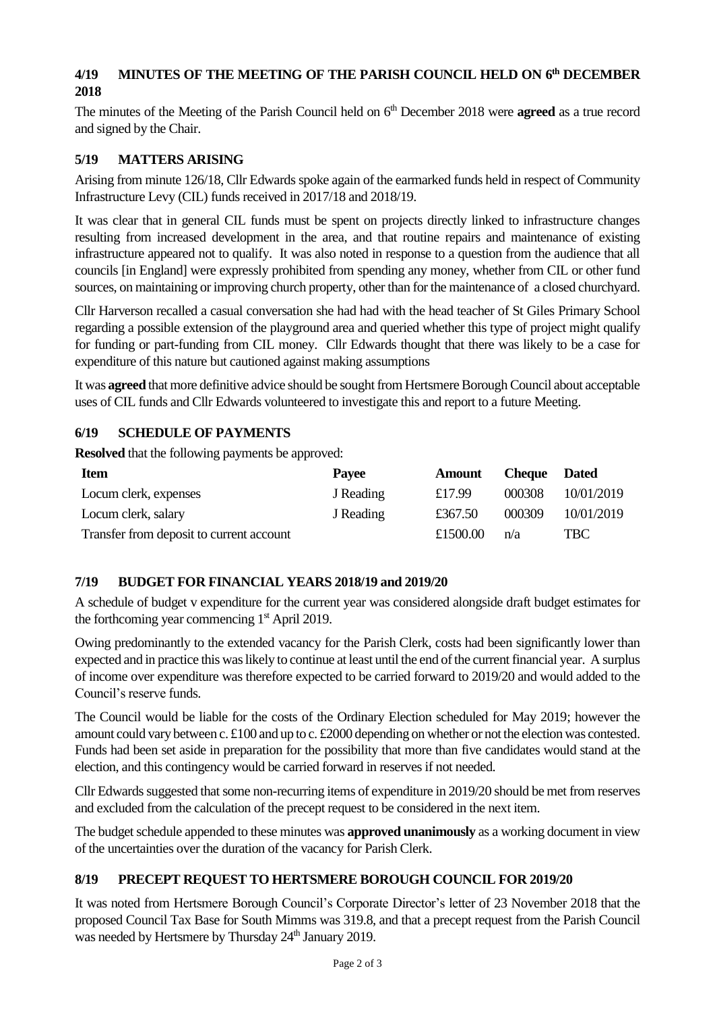# **4/19 MINUTES OF THE MEETING OF THE PARISH COUNCIL HELD ON 6 th DECEMBER 2018**

The minutes of the Meeting of the Parish Council held on 6 th December 2018 were **agreed** as a true record and signed by the Chair.

## **5/19 MATTERS ARISING**

Arising from minute 126/18, Cllr Edwards spoke again of the earmarked funds held in respect of Community Infrastructure Levy (CIL) funds received in 2017/18 and 2018/19.

It was clear that in general CIL funds must be spent on projects directly linked to infrastructure changes resulting from increased development in the area, and that routine repairs and maintenance of existing infrastructure appeared not to qualify. It was also noted in response to a question from the audience that all councils [in England] were expressly prohibited from spending any money, whether from CIL or other fund sources, on maintaining or improving church property, other than for the maintenance of a closed churchyard.

Cllr Harverson recalled a casual conversation she had had with the head teacher of St Giles Primary School regarding a possible extension of the playground area and queried whether this type of project might qualify for funding or part-funding from CIL money. Cllr Edwards thought that there was likely to be a case for expenditure of this nature but cautioned against making assumptions

It was **agreed** that more definitive advice should be sought from Hertsmere Borough Council about acceptable uses of CIL funds and Cllr Edwards volunteered to investigate this and report to a future Meeting.

# **6/19 SCHEDULE OF PAYMENTS**

**Resolved** that the following payments be approved:

| <b>Item</b>                              | Payee     | <b>Amount</b> | <b>Cheque</b> Dated |            |
|------------------------------------------|-----------|---------------|---------------------|------------|
| Locum clerk, expenses                    | J Reading | £17.99        | 000308              | 10/01/2019 |
| Locum clerk, salary                      | J Reading | £367.50       | 000309              | 10/01/2019 |
| Transfer from deposit to current account |           | £1500.00      | n/a                 | TBC -      |

## **7/19 BUDGET FOR FINANCIAL YEARS 2018/19 and 2019/20**

A schedule of budget v expenditure for the current year was considered alongside draft budget estimates for the forthcoming year commencing 1<sup>st</sup> April 2019.

Owing predominantly to the extended vacancy for the Parish Clerk, costs had been significantly lower than expected and in practice this was likely to continue at least until the end of the current financial year. A surplus of income over expenditure was therefore expected to be carried forward to 2019/20 and would added to the Council's reserve funds.

The Council would be liable for the costs of the Ordinary Election scheduled for May 2019; however the amount could vary between c. £100 and up to c. £2000 depending on whether or not the election was contested. Funds had been set aside in preparation for the possibility that more than five candidates would stand at the election, and this contingency would be carried forward in reserves if not needed.

Cllr Edwards suggested that some non-recurring items of expenditure in 2019/20 should be met from reserves and excluded from the calculation of the precept request to be considered in the next item.

The budget schedule appended to these minutes was **approved unanimously** as a working document in view of the uncertainties over the duration of the vacancy for Parish Clerk.

# **8/19 PRECEPT REQUEST TO HERTSMERE BOROUGH COUNCIL FOR 2019/20**

It was noted from Hertsmere Borough Council's Corporate Director's letter of 23 November 2018 that the proposed Council Tax Base for South Mimms was 319.8, and that a precept request from the Parish Council was needed by Hertsmere by Thursday 24<sup>th</sup> January 2019.